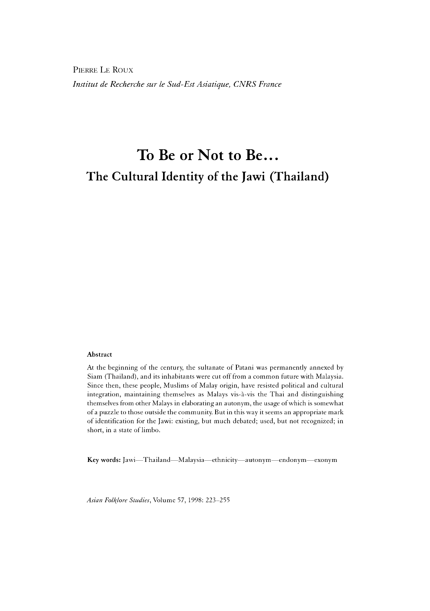PIERRE LE ROUX *Institut de Recherche sur le Sud-Est Asiatique, CNRS France*

# To Be or Not to Be... The Cultural Identity of the Jawi (Thailand)

#### Abstract

At the beginning of the century, the sultanate of Patani was permanently annexed by Siam (Thailand), and its inhabitants were cut off from a common future with Malaysia. Since then, these people, Muslims of Malay origin, have resisted political and cultural integration, maintaining themselves as Malays vis-a-vis the Thai and distinguishing themselves from other Malays in elaborating an autonym, the usage of which is somewhat of a puzzle to those outside the community. But in this way it seems an appropriate mark of identification for the Jawi: existing, but much debated; used, but not recognized; in short, in a state of limbo.

Key words: Jawi— Thailand— Malaysia— ethnicity— autonym— endonym— exonym

*Asian Folklore Studies,* Volume 57 1998: 223-255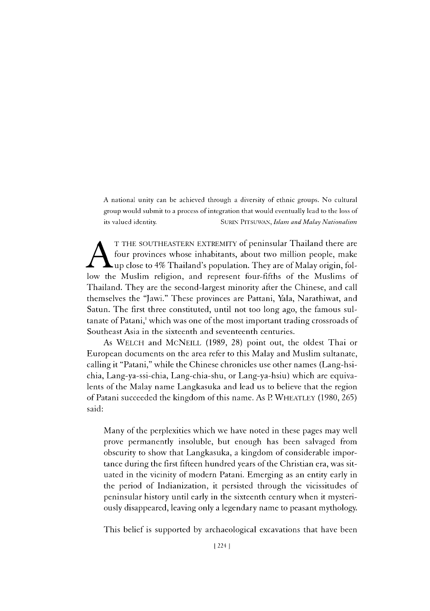A national unity can be achieved through a diversity of ethnic groups. No cultural group would submit to a process of integration that would eventually lead to the loss of its valued identity. SURIN PlTSUWAN, *Islam and Malay Nationalism*

T THE SOUTHEASTERN EXTREMITY of peninsular Thailand there are<br>four provinces whose inhabitants, about two million people, make<br>low the Muslim religion, and represent four-fifths of the Muslims of T THE SOUTHEASTERN EXTREMITY of peninsular Thailand there are four provinces whose inhabitants, about two million people, make  $\blacktriangle$ up close to 4% Thailand's population. They are of Malay origin, fol-Thailand. They are the second-largest minority after the Chinese, and call themselves the "Jawi." These provinces are Pattani, Yala, Narathiwat, and Satun. The first three constituted, until not too long ago, the famous sultanate of Patani,<sup>1</sup> which was one of the most important trading crossroads of Southeast Asia in the sixteenth and seventeenth centuries.

As WELCH and MCNEILL (1989, 28) point out, the oldest Thai or European documents on the area refer to this Malay and Muslim sultanate, calling it "Patani," while the Chinese chronicles use other names (Lang-hsichia, Lang-ya-ssi-chia, Lang-chia-shu, or Lang-ya-hsiu) which are equivalents of the Malay name Langkasuka and lead us to believe that the region of Patani succeeded the kingdom of this name. As P. WHEATLEY (1980, 265) said:

Many of the perplexities which we have noted in these pages may well prove permanently insoluble, but enough has been salvaged from obscurity to show that Langkasuka, a kingdom of considerable importance during the first fifteen hundred years of the Christian era, was situated in the vicinity of modern Patani. Emerging as an entity early in the period of Indianization, it persisted through the vicissitudes of peninsular history until early in the sixteenth century when it mysteriously disappeared, leaving only a legendary name to peasant mythology.

This belief is supported by archaeological excavations that have been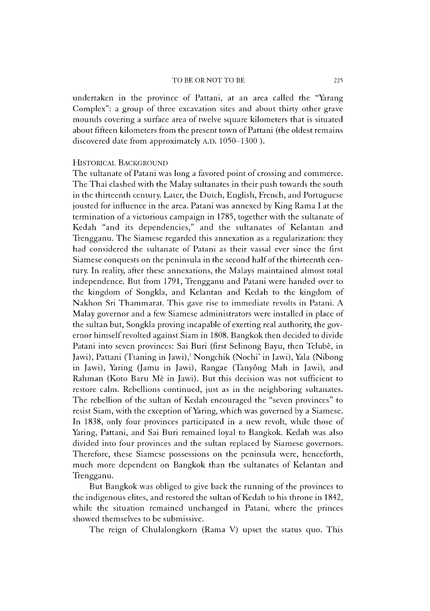undertaken in the province of Pattani, at an area called the "Yarang Complex": a group of three excavation sites and about thirty other grave mounds covering a surface area of twelve square kilometers that is situated about fifteen kilometers from the present town of Pattani (the oldest remains discovered date from approximately A.D. 1050—1300 ).

# HISTORICAL BACKGROUND

The sultanate of Patani was long a favored point of crossing and commerce. The Thai clashed with the Malay sultanates in their push towards the south in the thirteenth century. Later, the Dutch, English, French, and Portuguese jousted for influence in the area. Patani was annexed by King Rama I at the termination of a victorious campaign in 1785, together with the sultanate of Kedah "and its dependencies," and the sultanates of Kelantan and Trengganu. The Siamese regarded this annexation as a regularization: they had considered the sultanate of Patani as their vassal ever since the first Siamese conquests on the peninsula in the second half of the thirteenth century. In reality, after these annexations, the Malays maintained almost total independence. But from 1791, Trengganu and Patani were handed over to the kingdom of Songkla, and Kelantan and Kedah to the kingdom of Nakhon Sri Thammarat. This gave rise to immediate revolts in Patani. A Malay governor and a few Siamese administrators were installed in place of the sultan but, Songkla proving incapable of exerting real authority, the governor himself revolted against Siam in 1808. Bangkok then decided to divide Patani into seven provinces: Sai Buri (first Selinong Bayu, then Telube, in Jawi), Pattani (Ttaning in Jawi),<sup>2</sup> Nongchik (Nochi' in Jawi), Yala (Nibong in Jawi), Yaring (Jamu in Jawi), Rangae (Tanyong Mah in Jawi), and Rahman (Koto Baru Mè in Jawi). But this decision was not sufficient to restore calm. Rebellions continued, just as in the neighboring sultanates. The rebellion of the sultan of Kedah encouraged the "seven provinces" to resist Siam, with the exception of Yaring, which was governed by a Siamese. In 1838, only four provinces participated in a new revolt, while those of Yaring, Pattani, and Sai Buri remained loyal to Bangkok. Kedah was also divided into four provinces and the sultan replaced by Siamese governors. Therefore, these Siamese possessions on the peninsula were, henceforth, much more dependent on Bangkok than the sultanates of Kelantan and Trengganu.

But Bangkok was obliged to give back the running of the provinces to the indigenous elites, and restored the sultan of Kedah to his throne in 1842, while the situation remained unchanged in Patani, where the princes showed themselves to be submissive.

The reign of Chulalongkorn (Rama V) upset the status quo. This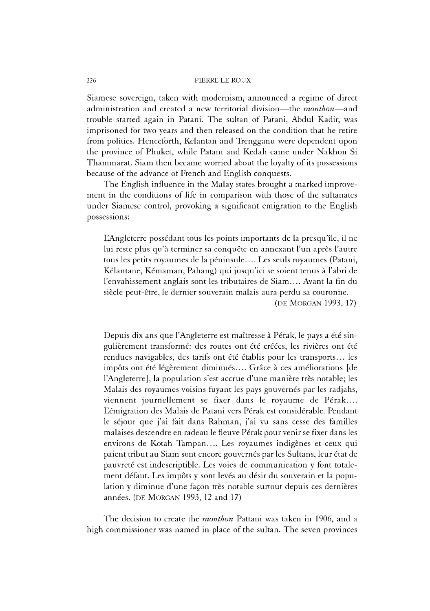Siamese sovereign, taken with modernism, announced a regime of direct administration and created a new territorial division— the *monthon*— and trouble started again in Patani. The sultan of Patani, Abdul Kadir, was imprisoned for two years and then released on the condition that he retire from politics. Henceforth, Kelantan and Trengganu were dependent upon the province of Phuket, while Patani and Kedah came under Nakhon Si Thammarat. Siam then became worried about the loyalty of its possessions because of the advance of French and English conquests.

The English influence in the Malay states brought a marked improvement in the conditions of life in comparison with those of the sultanates under Siamese control, provoking a significant emigration to the English possessions:

L'Angleterre possédant tous les points importants de la presqu'île, il ne lui reste plus qu'à terminer sa conquête en annexant l'un après l'autre tous les petits royaumes de la péninsule.... Les seuls royaumes (Patani, Kelantane, Kemaman, Pahang) qui jusqu'ici se soient tenus a l'abri de l'envahissement anglais sont les tributaires de Siam\_\_Avant la fin du siècle peut-être, le dernier souverain malais aura perdu sa couronne.

(DE MORGAN 1993, 17)

Depuis dix ans que l'Angleterre est maîtresse à Pérak, le pays a été singulièrement transformé: des routes ont été créées, les rivières ont été rendues navigables, des tarifs ont été établis pour les transports... les impôts ont été légèrement diminués.... Grâce à ces améliorations [de l'Angleterre], la population s'est accrue d'une manière très notable; les Malais des royaumes voisins fuyant les pays gouvernés par les radjahs, viennent journellement se fixer dans le royaume de Pérak.... L'émigration des Malais de Patani vers Pérak est considérable. Pendant le séjour que j'ai fait dans Rahman, j'ai vu sans cesse des familles malaises descendre en radeau le fleuve Perak pour venir se fixer dans les environs de Kotah Tampan.... Les royaumes indigènes et ceux qui paient tribut au Siam sont encore gouvernés par les Sultans, leur état de pauvreté est indescriptible. Les voies de communication y font totalement défaut. Les impôts y sont levés au désir du souverain et la population y diminue d'une façon très notable surtout depuis ces dernières années. (DE MORGAN 1993, 12 and 17)

The decision to create the *monthon* Pattani was taken in 1906, and a high commissioner was named in place of the sultan. The seven provinces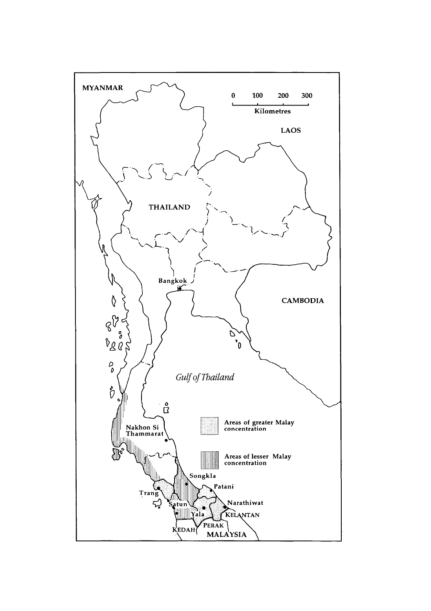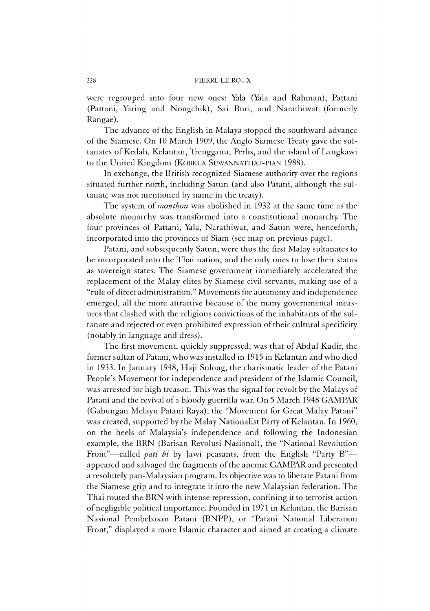were regrouped into four new ones: Yala (Yala and Rahman), Pattani (Pattani, Yaring and Nongchik), Sai Buri, and Narathiwat (formerly Rangae).

The advance of the English in Malaya stopped the southward advance of the Siamese. On 10 March 1909, the Anglo Siamese Treaty gave the sultanates of Kedah, Kelantan, Trengganu, Perlis, and the island of Langkawi to the United Kingdom (Kobkua SUWANNATHAT-PIAN 1988).

In exchange, the British recognized Siamese authority over the regions situated further north, including Satun (and also Patani, although the sultanate was not mentioned by name in the treaty).

The system of *monthon* was abolished in 1932 at the same time as the absolute monarchy was transformed into a constitutional monarchy. The four provinces of Pattani, Yala, Narathiwat, and Satun were, henceforth, incorporated into the provinces of Siam (see map on previous page).

Patani, and subsequently Satun, were thus the first Malay sultanates to be incorporated into the Thai nation, and the only ones to lose their status as sovereign states. The Siamese government immediately accelerated the replacement of the Malay elites by Siamese civil servants, making use of a "rule of direct administration." Movements for autonomy and independence emerged, all the more attractive because of the many governmental measures that clashed with the religious convictions of the inhabitants of the sultanate and rejected or even prohibited expression of their cultural specificity (notably in language and dress).

The first movement, quickly suppressed, was that of Abdul Kadir, the former sultan of Patani, who was installed in 1915 in Kelantan and who died in 1933. In January 1948, Haji Sulong, the charismatic leader of the Patani People's Movement for independence and president of the Islamic Council, was arrested for high treason. This was the signal for revolt by the Malays of Patani and the revival of a bloody guerrilla war. On 5 March 1948 GAMPAR (Gabungan Melayu Patani Raya), the "Movement for Great Malay Patani" was created, supported by the Malay Nationalist Party of Kelantan. In 1960, on the heels of Malaysia's independence and following the Indonesian example, the BRN (Barisan Revolusi Nasional), the "National Revolution Front"—called *pati bi* by Jawi peasants, from the English "Party B" appeared and salvaged the fragments of the anemic GAMPAR and presented a resolutely pan-Malaysian program. Its objective was to liberate Patani from the Siamese grip and to integrate it into the new Malaysian federation. The Thai routed the BRN with intense repression, confining it to terrorist action of negligible political importance. Founded in 1971 in Kelantan, the Barisan Nasional Pembebasan Patani (BNPP), or "Patani National Liberation Front," displayed a more Islamic character and aimed at creating a climate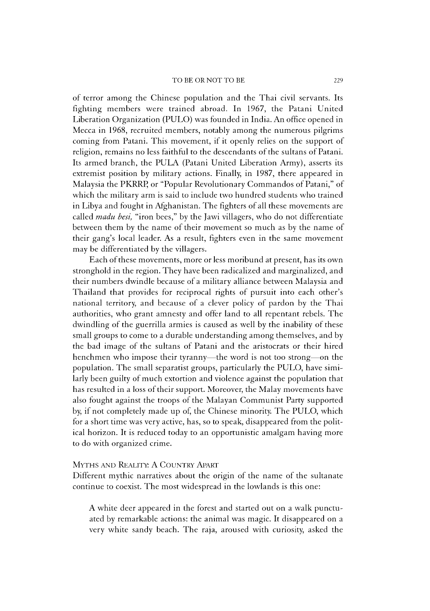of terror among the Chinese population and the Thai civil servants. Its fighting members were trained abroad. In 1967, the Patani United Liberation Organization (PULO) was founded in India. An office opened in Mecca in 1968, recruited members, notably among the numerous pilgrims coming from Patani. This movement, if it openly relies on the support of religion, remains no less faithful to the descendants of the sultans of Patani. Its armed branch, the PULA (Patani United Liberation Army), asserts its extremist position by military actions. Finally, in 1987, there appeared in Malaysia the PKRRP, or "Popular Revolutionary Commandos of Patani," of which the military arm is said to include two hundred students who trained in Libya and fought in Afghanistan. The fighters of all these movements are called *madu besi*, "iron bees," by the Jawi villagers, who do not differentiate between them by the name of their movement so much as by the name of their gang's local leader. As a result, fighters even in the same movement may be differentiated by the villagers.

Each of these movements, more or less moribund at present, has its own stronghold in the region. They have been radicalized and marginalized, and their numbers dwindle because of a military alliance between Malaysia and Thailand that provides for reciprocal rights of pursuit into each other's national territory, and because of a clever policy of pardon by the Thai authorities, who grant amnesty and offer land to all repentant rebels. The dwindling of the guerrilla armies is caused as well by the inability of these small groups to come to a durable understanding among themselves, and by the bad image of the sultans of Patani and the aristocrats or their hired henchmen who impose their tyranny— the word is not too strong— on the population. The small separatist groups, particularly the PULO, have similarly been guilty of much extortion and violence against the population that has resulted in a loss of their support. Moreover, the Malay movements have also fought against the troops of the Malayan Communist Party supported by, if not completely made up of, the Chinese minority. The PULO, which for a short time was very active, has, so to speak, disappeared from the political horizon. It is reduced today to an opportunistic amalgam having more to do with organized crime.

# MYTHS AND REALITY: A COUNTRY APART

Different mythic narratives about the origin of the name of the sultanate continue to coexist. The most widespread in the lowlands is this one:

A white deer appeared in the forest and started out on a walk punctuated by remarkable actions: the animal was magic. It disappeared on a very white sandy beach. The raja, aroused with curiosity, asked the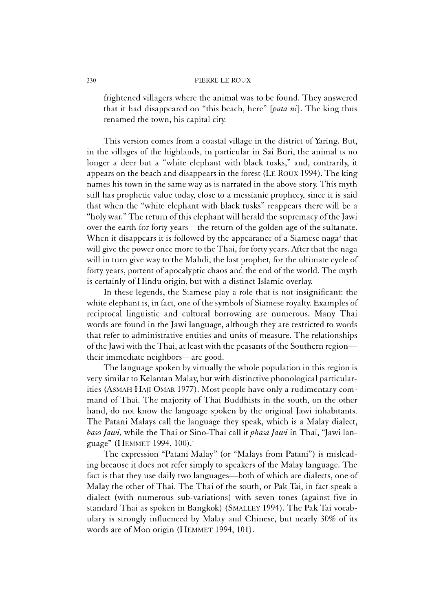frightened villagers where the animal was to be found. They answered that it had disappeared on "this beach, here" *\pata ni].* The king thus renamed the town, his capital city.

This version comes from a coastal village in the district of Yaring. But, in the villages of the highlands, in particular in Sai Buri, the animal is no longer a deer but a "white elephant with black tusks," and, contrarily, it appears on the beach and disappears in the forest (Le Roux 1994). The king names his town in the same way as is narrated in the above story. This myth still has prophetic value today, close to a messianic prophecy, since it is said that when the "white elephant with black tusks" reappears there will be a "holy war." The return of this elephant will herald the supremacy of the Jawi over the earth for forty years— the return of the golden age of the sultanate. When it disappears it is followed by the appearance of a Siamese naga<sup>3</sup> that will give the power once more to the Thai, for forty years. After that the naga will in turn give way to the Mahdi, the last prophet, for the ultimate cycle of forty years, portent of apocalyptic chaos and the end of the world. The myth is certainly of Hindu origin, but with a distinct Islamic overlay.

In these legends, the Siamese play a role that is not insignificant: the white elephant is, in fact, one of the symbols of Siamese royalty. Examples of reciprocal linguistic and cultural borrowing are numerous. Many Thai words are found in the Jawi language, although they are restricted to words that refer to administrative entities and units of measure. The relationships of the Jawi with the Thai, at least with the peasants of the Southern region their immediate neighbors— are good.

The language spoken by virtually the whole population in this region is very similar to Kelantan Malay, but with distinctive phonological particularities (ASMAH HAJI OMAR 1977). Most people have only a rudimentary command of Thai. The majority of Thai Buddhists in the south, on the other hand, do not know the language spoken by the original Jawi inhabitants. The Patani Malays call the language they speak, which is a Malay dialect, *baso Jawi,* while the Thai or Sino-Thai call it *phasa Jawi* in Thai, "Jawi language" (HEMMET 1994, 100).<sup>4</sup>

The expression "Patani Malay" (or "Malays from Patani") is misleading because it does not refer simply to speakers of the Malay language. The fact is that they use daily two languages— both of which are dialects, one of Malay the other of Thai. The Thai of the south, or Pak Tai, in fact speak a dialect (with numerous sub-variations) with seven tones (against five in standard Thai as spoken in Bangkok) (SMALLEY 1994). The Pak Tai vocabulary is strongly influenced by Malay and Chinese, but nearly 30% of its words are of Mon origin (HEMMET 1994, 101).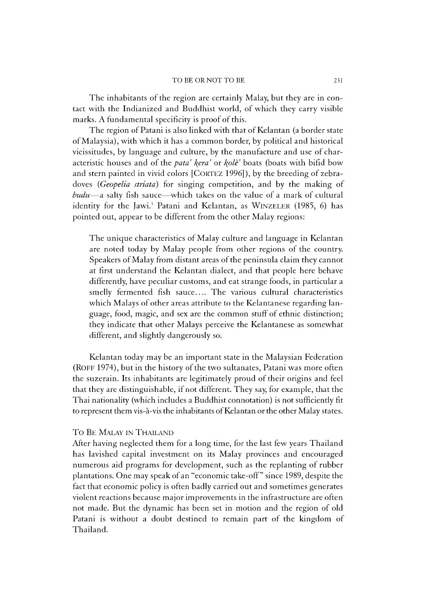The inhabitants of the region are certainly Malay, but they are in contact with the Indianized and Buddhist world, of which they carry visible marks. A fundamental specificity is proof of this.

The region of Patani is also linked with that of Kelantan (a border state of Malaysia), with which it has a common border, by political and historical vicissitudes, by language and culture, by the manufacture and use of characteristic houses and of the *pata' kera'* or *kole'* boats (boats with bifid bow and stern painted in vivid colors [CORTEZ 1996]), by the breeding of zebradoves *{Geopelia striata)* for singing competition, and by the making of *budu*— a salty fish sauce— which takes on the value of a mark of cultural identity for the Jawi.<sup>5</sup> Patani and Kelantan, as WINZELER (1985, 6) has pointed out, appear to be different from the other Malay regions:

The unique characteristics of Malay culture and language in Kelantan are noted today by Malay people from other regions of the country. Speakers of Malay from distant areas of the peninsula claim they cannot at first understand the Kelantan dialect, and that people here behave differently, have peculiar customs, and eat strange foods, in particular a smelly fermented fish sauce.... The various cultural characteristics which Malays of other areas attribute to the Kelantanese regarding language, food, magic, and sex are the common stuff of ethnic distinction; they indicate that other Malays perceive the Kelantanese as somewhat different, and slightly dangerously so.

Kelantan today may be an important state in the Malaysian Federation (ROFF 1974), but in the history of the two sultanates, Patani was more often the suzerain. Its inhabitants are legitimately proud of their origins and feel that they are distinguishable, if not different. They say, for example, that the Thai nationality (which includes a Buddhist connotation) is not sufficiently fit to represent them vis-a-vis the inhabitants of Kelantan or the other Malay states.

# TO BE MALAY IN THAILAND

After having neglected them for a long time, for the last few years Thailand has lavished capital investment on its Malay provinces and encouraged numerous aid programs for development, such as the replanting of rubber plantations. One may speak of an "economic take-off" since 1989, despite the fact that economic policy is often badly carried out and sometimes generates violent reactions because major improvements in the infrastructure are often not made. But the dynamic has been set in motion and the region of old Patani is without a doubt destined to remain part of the kingdom of Thailand.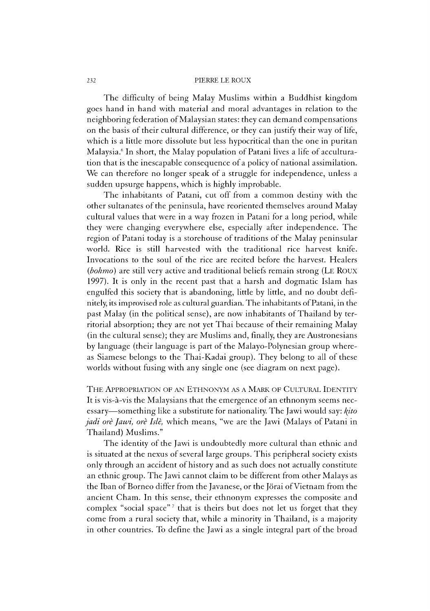The difficulty of being Malay Muslims within a Buddhist kingdom goes hand in hand with material and moral advantages in relation to the neighboring federation of Malaysian states: they can demand compensations on the basis of their cultural difference, or they can justify their way of life, which is a little more dissolute but less hypocritical than the one in puritan Malaysia.6 In short, the Malay population of Patani lives a life of acculturation that is the inescapable consequence of a policy of national assimilation. We can therefore no longer speak of a struggle for independence, unless a sudden upsurge happens, which is highly improbable.

The inhabitants of Patani, cut off from a common destiny with the other sultanates of the peninsula, have reoriented themselves around Malay cultural values that were in a way frozen in Patani for a long period, while they were changing everywhere else, especially after independence. The region of Patani today is a storehouse of traditions of the Malay peninsular world. Rice is still harvested with the traditional rice harvest knife. Invocations to the soul of the rice are recited before the harvest. Healers *(bohmo)* are still very active and traditional beliefs remain strong (Le Roux 1997). It is only in the recent past that a harsh and dogmatic Islam has engulfed this society that is abandoning, little by little, and no doubt definitely, its improvised role as cultural guardian. The inhabitants of Patani, in the past Malay (in the political sense), are now inhabitants of Thailand by territorial absorption; they are not yet Thai because of their remaining Malay (in the cultural sense); they are Muslims and, finally, they are Austronesians by language (their language is part of the Malayo-Polynesian group whereas Siamese belongs to the Thai-Kadai group). They belong to all of these worlds without fusing with any single one (see diagram on next page).

THE APPROPRIATION OF AN ETHNONYM AS A MARK OF CULTURAL IDENTITY It is vis-a-vis the Malaysians that the emergence of an ethnonym seems necessary— something like a substitute for nationality. The Jawi would say: *^ito jadi orè Jawi, orè Islè*, which means, "we are the Jawi (Malays of Patani in Thailand) Muslims."

The identity of the Jawi is undoubtedly more cultural than ethnic and is situated at the nexus of several large groups. This peripheral society exists only through an accident of nistory and as such does not actually constitute an ethnic group. The Jawi cannot claim to be different from other Malays as the Iban of Borneo differ from the Javanese, or the Jörai of Vietnam from the ancient Cham. In this sense, their ethnonym expresses the composite and complex "social space"? that is theirs but does not let us forget that they come from a rural society that, while a minority in Thailand, is a majority in other countries. To define the Jawi as a single integral part of the broad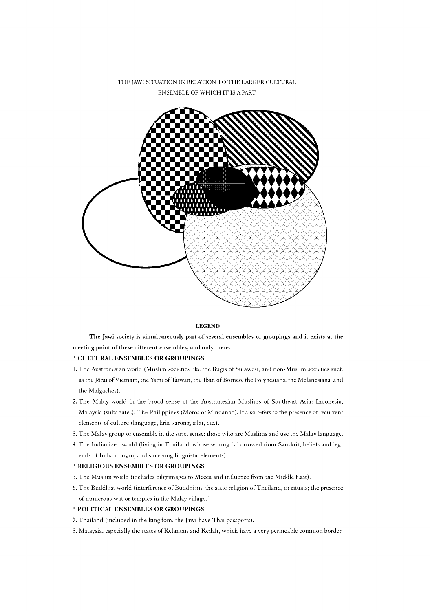# THE IAWI SITUATION IN RELATION TO THE LARGER CULTURAL

# ENSEMBLE OF WHICH IT IS A PART



#### LEGEND

The Jawi society is simultaneously part of several ensembles or groupings and it exists at the meeting point of these different ensembles, and only there.

# \* CULTURAL ENSEMBLES OR GROUPINGS

- 1.The Austronesian world (Muslim societies like the Bugis of Sulawesi, and non-Muslim societies such as the Jorai of Vietnam, the Yami of Taiwan, the Iban of Borneo, the Polynesians, the Melanesians, and the Malgaches).
- 2. The Malay world in the broad sense of the Austronesian Muslims of Southeast Asia: Indonesia, Malaysia (sultanates), The Philippines (Moros of Mindanao). It also refers to the presence of recurrent elements of culture (language, kris, sarong, silat, etc.).
- 3. The Malay group or ensemble in the strict sense: those who are Muslims and use the Malay language.
- 4. The Indianized world (living in Thailand, whose writing is borrowed from Sanskrit; beliefs and legends of Indian origin, and surviving linguistic elements).

#### \* RELIGIOUS ENSEMBLES OR GROUPINGS

- 5. The Muslim world (includes pilgrimages to Mecca and influence from the Middle East).
- 6. The Buddhist world (interference of Buddhism, the state religion of Thailand, in rituals; the presence of numerous wat or temples in the Malay villages).

#### \* POLITICAL ENSEMBLES OR GROUPINGS

7. Thailand (included in the kingdom, the Jawi have Thai passports).

8. Malaysia, especially the states of Kelantan and Kedah, which have a very permeable common border.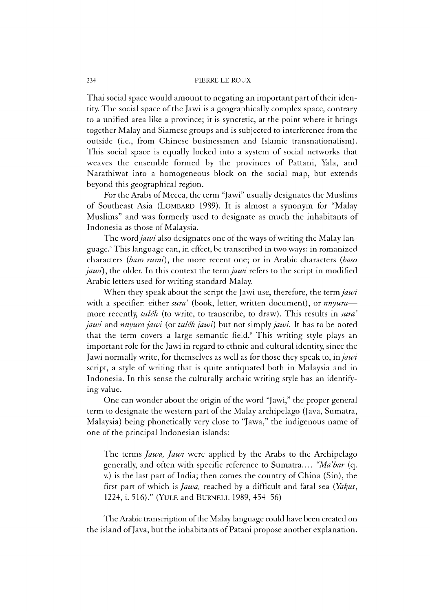Thai social space would amount to negating an important part of their identity. The social space of the Jawi is a geographically complex space, contrary to a unified area like a province; it is syncretic, at the point where it brings together Malay and Siamese groups and is subjected to interference from the outside (i.e., from Chinese businessmen and Islamic transnationalism). This social space is equally locked into a system of social networks that weaves the ensemble formed by the provinces of Pattani, Yala, and Narathiwat into a homogeneous block on the social map, but extends beyond this geographical region.

For the Arabs of Mecca, the term "Jawi" usually designates the Muslims of Southeast Asia (LOMBARD 1989). It is almost a synonym for "Malay Muslims" and was formerly used to designate as much the inhabitants of Indonesia as those of Malaysia.

The *word jawi* also designates one of the ways of writing the Malay language.8 This language can, in effect, be transcribed in two ways: in romanized characters *(baso rumi),* the more recent one; or in Arabic characters *(baso jawi*), the older. In this context the term *jawi* refers to the script in modified Arabic letters used for writing standard Malay.

When they speak about the script the Jawi use, therefore, the *term jawi* with a specifier: either *sura'* (book, letter, written document), or *nnyura* more recently, *tuléh* (to write, to transcribe, to draw). This results in *sura jawi* and *nnyura jawi* (or *tuleh jawi)* but not *simply jawi.* It has to be noted that the term covers a large semantic field.<sup>9</sup> This writing style plays an important role for the Jawi in regard to ethnic and cultural identity, since the Jawi normally write, for themselves as well as for those they speak to, in *jawi* script, a style of writing that is quite antiquated both in Malaysia and in Indonesia. In this sense the culturally archaic writing style has an identifying value.

One can wonder about the origin of the word "Jawi," the proper general term to designate the western part of the Malay archipelago (Java, Sumatra, Malaysia) being phonetically very close to "Jawa," the indigenous name of one of the principal Indonesian islands:

The terms *Jawa, Jawi* were applied by the Arabs to the Archipelago generally, and often with specific reference to Sumatra.... "Ma'bar (q. v.) is the last part of India; then comes the country of China (Sin), the first part of which is *Jawa,* reached by a difficult and fatal sea *{Yakut^* 1224, i. 516)." (YULE and BURNELL 1989, 454–56)

The Arabic transcription of the Malay language could have been created on the island of Java, but the inhabitants of Patani propose another explanation.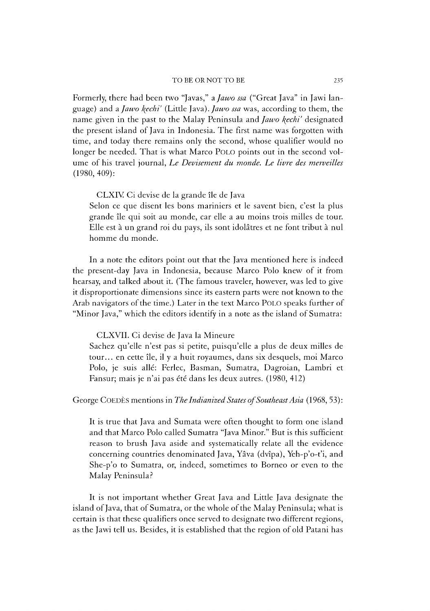Formerly, there had been two "Javas," a *Jawo ssa* ("Great Java" in Jawi language) and a *Jawo \echi* (Little *Java). Jawo ssa* was, according to them, the name given in the past to the Malay Peninsula and *Jawo \echi* designated the present island of Java in Indonesia. The first name was forgotten with time, and today there remains only the second, whose qualifier would no longer be needed. That is what Marco POLO points out in the second volume of his travel journal, *Le Devisement du monde. Le livre des merveilles* (1980, 409):

# CLXIV. Ci devise de la grande île de Java

Selon ce que disent les bons mariniers et le savent bien, c'est la plus grande île qui soit au monde, car elle a au moins trois milles de tour. Elle est à un grand roi du pays, ils sont idolâtres et ne font tribut à nul homme du monde.

In a note the editors point out that the Java mentioned here is indeed the present-day Java in Indonesia, because Marco Polo knew of it from hearsay, and talked about it. (The famous traveler, however, was led to give it disproportionate dimensions since its eastern parts were not known to the Arab navigators of the time.) Later in the text Marco POLO speaks further of "Minor Java," which the editors identify in a note as the island of Sumatra:

# CLXVII. Ci devise de Java la Mineure

Sachez qu'elle n'est pas si petite, puisqu'elle a plus de deux milles de tour... en cette île, il y a huit royaumes, dans six desquels, moi Marco Polo, je suis allé: Ferlec, Basman, Sumatra, Dagroian, Lambri et Fansur; mais je n'ai pas été dans les deux autres. (1980, 412)

# George COEDES mentions in *The Indianized States of Southeast Asia* (1968, 53):

It is true that Java and Sumata were often thought to form one island and that Marco Polo called Sumatra "Java Minor." But is this sufficient reason to brush Java aside and systematically relate all the evidence concerning countries denominated Java, Yâva (dvîpa), Yeh-p'o-t'i, and She-p'o to Sumatra, or, indeed, sometimes to Borneo or even to the Malay Peninsula?

It is not important whether Great Java and Little Java designate the island of Java, that of Sumatra, or the whole of the Malay Peninsula; what is certain is that these qualifiers once served to designate two different regions, as the Jawi tell us. Besides, it is established that the region of old Patani has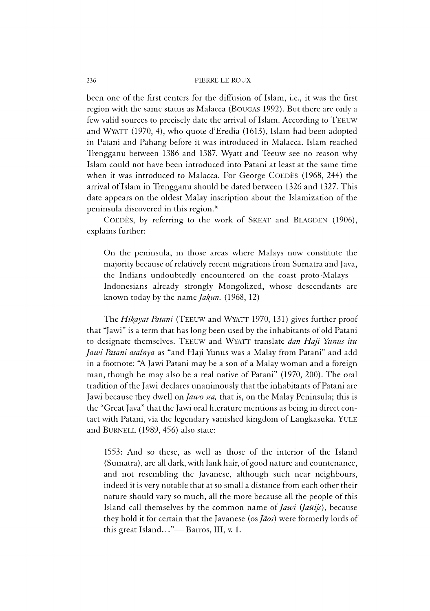been one of the first centers for the diffusion of Islam, i.e., it was the first region with the same status as Malacca (BOUGAS 1992). But there are only a few valid sources to precisely date the arrival of Islam. According to Teeuw and WYATT (1970, 4), who quote d'Eredia (1613), Islam had been adopted in Patani and Pahang before it was introduced in Malacca. Islam reached Trengganu between 1386 and 1387. Wyatt and Teeuw see no reason why Islam could not have been introduced into Patani at least at the same time when it was introduced to Malacca. For George COEDES (1968, 244) the arrival of Islam in Trengganu should be dated between 1326 and 1327. This date appears on the oldest Malay inscription about the Islamization of the peninsula discovered in this region.10

COEDÈS, by referring to the work of SKEAT and BLAGDEN (1906), explains further:

On the peninsula, in those areas where Malays now constitute the majority because of relatively recent migrations from Sumatra and Java, the Indians undoubtedly encountered on the coast proto-Malays— Indonesians already strongly Mongolized, whose descendants are known today by the name *Jakun*. (1968, 12)

The *Hikayat Patani* (TEEUW and WYATT 1970, 131) gives further proof that "Jawi" is a term that has long been used by the inhabitants of old Patani to designate themselves. Teeuw and WYATT translate *dan Haji funus itu Jawi Patani asalnya* as "and Haji Yunus was a Malay from Patani" and add in a footnote: "A Jawi Patani may be a son of a Malay woman and a foreign man, though he may also be a real native of Patani" (1970, 200). The oral tradition of the Jawi declares unanimously that the inhabitants of Patani are Jawi because they dwell on *Jawo ssa,* that is, on the Malay Peninsula; this is the "Great Java" that the Jawi oral literature mentions as being in direct contact with Patani, via the legendary vanished kingdom of Langkasuka. Yule and BURNELL (1989, 456) also state:

1553: And so these, as well as those of the interior of the Island (Sumatra), are all dark, with lank hair, of good nature and countenance, and not resembling the Javanese, although such near neighbours, indeed it is very notable that at so small a distance from each other their nature should vary so much, all the more because all the people of this Island call themselves by the common name of *Jawi (Jaihjs)* because they hold it for certain that the Javanese (os *Jãos*) were formerly lords of this great Island..."- Barros, III, v. 1.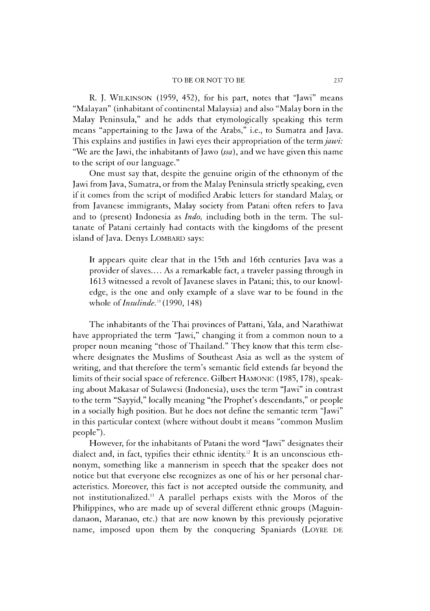R. J. WILKINSON (1959, 452), for his part, notes that "Jawi" means "Malayan" (inhabitant of continental Malaysia) and also "Malay born in the Malay Peninsula," and he adds that etymologically speaking this term means "appertaining to the Jawa of the Arabs," i.e., to Sumatra and Java. This explains and justifies in Jawi eyes their appropriation of the *term jawi:* "We are the Jawi, the inhabitants of Jawo *(ssa),* and we have given this name to the script of our language."

One must say that, despite the genuine origin of the ethnonym of the Jawi from Java, Sumatra, or from the Malay Peninsula strictly speaking, even if it comes from the script of modified Arabic letters for standard Malay, or from Javanese immigrants, Malay society from Patani often refers to Java and to (present) Indonesia as *Indo*, including both in the term. The sultanate of Patani certainly had contacts with the kingdoms of the present island of Java. Denys LOMBARD says:

It appears quite clear that in the 15th and 16th centuries Java was a provider of slaves\_\_As a remarkable fact, a traveler passing through in 1613 witnessed a revolt of Javanese slaves in Patani; this, to our knowledge, is the one and only example of a slave war to be found in the whole of *Insulinde*.<sup>11</sup> (1990, 148)

The inhabitants of the Thai provinces of Pattani, Yala, and Narathiwat have appropriated the term "Jawi," changing it from a common noun to a proper noun meaning "those of Thailand." They know that this term elsewhere designates the Muslims of Southeast Asia as well as the system of writing, and that therefore the term's semantic field extends far beyond the limits of their social space of reference. Gilbert HAMONIC (1985, 178), speaking about Makasar of Sulawesi (Indonesia), uses the term "Jawi" in contrast to the term "Sayyid," locally meaning "the Prophet's descendants," or people in a socially high position. But he does not define the semantic term "Jawi" in this particular context (where without doubt it means "common Muslim people").

However, for the inhabitants of Patani the word "Jawi" designates their dialect and, in fact, typifies their ethnic identity.12 It is an unconscious ethnonym, something like a mannerism in speech that the speaker does not notice but that everyone else recognizes as one of his or her personal characteristics. Moreover, this fact is not accepted outside the community, and not institutionalized.13 A parallel perhaps exists with the Moros of the Philippines, who are made up of several different ethnic groups (Maguindanaon, Maranao, etc.) that are now known by this previously pejorative name, imposed upon them by the conquering Spaniards (Loyre DE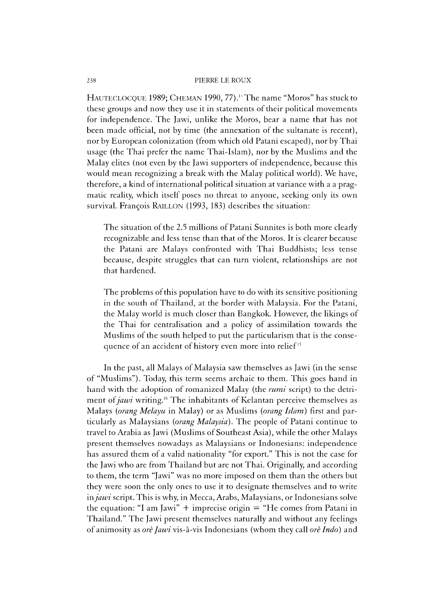HAUTECLOCQUE 1989; CHEMAN 1990, 77).<sup>14</sup> The name "Moros" has stuck to these groups and now they use it in statements of their political movements for independence. The Jawi, unlike the Moros, bear a name that has not been made official, not by time (the annexation of the sultanate is recent), nor by European colonization (from which old Patani escaped), nor by Thai usage (the Thai prefer the name Thai-Islam), nor by the Muslims and the Malay elites (not even by the Jawi supporters of independence, because this would mean recognizing a break with the Malay political world). We have, therefore, a kind of international political situation at variance with a a pragmatic reality, which itself poses no threat to anyone, seeking only its own survival. François RAILLON (1993, 183) describes the situation:

The situation of the 2.5 millions of Patani Sunnites is both more clearly recognizable and less tense than that of the Moros. It is clearer because the Patani are Malays confronted with Thai Buddhists; less tense because, despite struggles that can turn violent, relationships are not that hardened.

The problems of this population have to do with its sensitive positioning in the south of Thailand, at the border with Malaysia. For the Patani, the Malay world is much closer than Bangkok. However, the likings of the Thai for centralisation and a policy of assimilation towards the Muslims of the south helped to put the particularism that is the consequence of an accident of history even more into relief<sup>15</sup>

In the past, all Malays of Malaysia saw themselves as Jawi (in the sense of "Muslims"). Today, this term seems archaic to them. This goes hand in hand with the adoption of romanized Malay (the *rumi* script) to the detriment of *jawi* writing.<sup>16</sup> The inhabitants of Kelantan perceive themselves as Malays *(prang Melayu* in Malay) or as Muslims *{orang Islam)* first and particularly as Malaysians *{orang Malaysia).* The people of Patani continue to travel to Arabia as Jawi (Muslims of Southeast Asia), while the other Malays present themselves nowadays as Malaysians or Indonesians: independence has assured them of a valid nationality "for export." This is not the case for the Jawi who are from Thailand but are not Thai. Originally, and according to them, the term "Jawi" was no more imposed on them than the others but they were soon the only ones to use it to designate themselves and to write *injawi* script.1 his is why, in Mecca, Arabs, Malaysians, or Indonesians solve the equation: "I am Jawi"  $+$  imprecise origin  $=$  "He comes from Patani in Thailand." The Jawi present themselves naturally and without any feelings of animosity as *ore Jawi* vis-a-vis Indonesians (whom they call *ore Indo)* and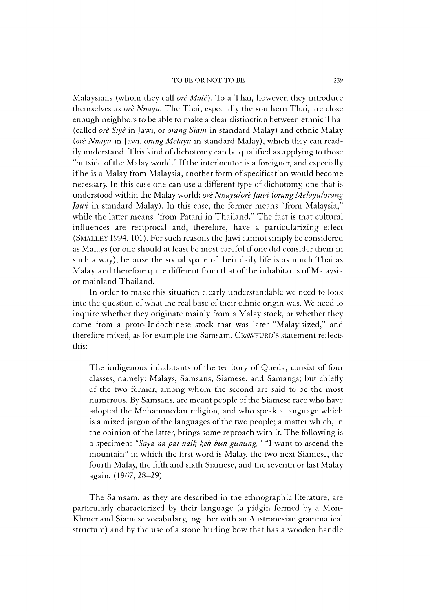Malaysians (whom they call *ore Male).* To a Thai, however, they introduce themselves as *ore Nnayu.* The Thai, especially the southern Thai, are close enough neighbors to be able to make a clear distinction between ethnic Thai (called *ore ^iye* in Jawi, or *orang Siam* in standard Malay) and ethnic Malay *(ore Nnayu* in Jawi, *orang Melayu* in standard Malay), which they can readily understand. This kind of dichotomy can be qualified as applying to those "outside of the Malay world." If the interlocutor is a foreigner, and especially if he is a Malay from Malaysia, another form of specification would become necessary. In this case one can use a different type of dichotomy, one that is understood within the Malay world: *ore Nnayu/ore Jawi (orang Melayu/orang Jawi* in standard Malay). In this case, the former means "from Malaysia," while the latter means "from Patani in Thailand." The fact is that cultural influences are reciprocal and, therefore, have a particularizing effect (SMALLEY 1994, 101). For such reasons the Jawi cannot simply be considered as Malays (or one should at least be most careful if one did consider them in such a way), because the social space of their daily life is as much Thai as Malay, and therefore quite different from that of the inhabitants of Malaysia or mainland Thailand.

In order to make this situation clearly understandable we need to look into the question of what the real base of their ethnic origin was. We need to inquire whether they originate mainly from a Malay stock, or whether they come from a proto-Indochinese stock that was later "Malayisized," and therefore mixed, as for example the Samsam. CRAWFURD'S statement reflects this:

The indigenous inhabitants of the territory of Queda, consist of four classes, namely: Malays, Samsans, Siamese, and Samangs; but chiefly of the two former, among whom the second are said to be the most numerous. By Samsans, are meant people of the Siamese race who have adopted the Mohammedan religion, and who speak a language which is a mixed jargon of the languages of the two people; a matter which, in the opinion of the latter, brings some reproach with it. The following is a specimen: "Saya na pai naik keh bun gunung," "I want to ascend the mountain" in which the first word is Malay, the two next Siamese, the fourth Malay, the fifth and sixth Siamese, and the seventh or last Malay again. (1967, 28-29)

The Samsam, as they are described in the ethnographic literature, are particularly characterized by their language (a pidgin formed by a Mon-Khmer and Siamese vocabulary, together with an Austronesian grammatical structure) and by the use of a stone hurling bow that has a wooden handle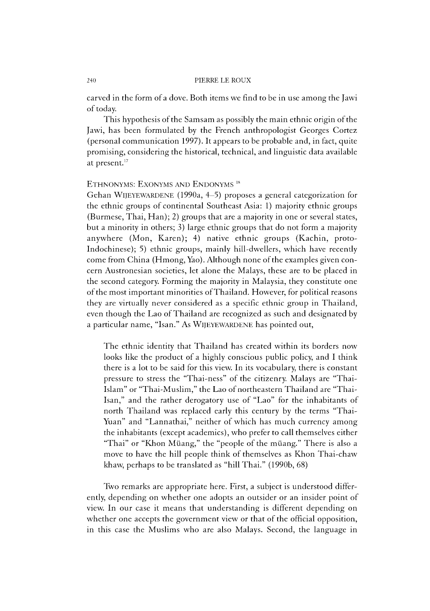carved in the form of a dove. Both items we find to be in use among the Jawi of today.

This hypothesis of the Samsam as possibly the main ethnic origin of the Jawi, has been formulated by the French anthropologist Georges Cortez (personal communication 1997). It appears to be probable and, in fact, quite promising, considering the historical, technical, and linguistic data available at present.<sup>17</sup>

# ETHNONYMS: EXONYMS AND ENDONYMS<sup>18</sup>

Gehan WIJEYEWARDENE (1990a, 4–5) proposes a general categorization for the ethnic groups of continental Southeast Asia: 1) majority ethnic groups (Burmese, Thai, Han); 2) groups that are a majority in one or several states, but a minority in others; 3) large ethnic groups that do not form a majority anywhere (Mon, Karen); 4) native ethnic groups (Kachin, proto-Indochinese); 5) ethnic groups, mainly hill-dwellers, which have recently come from China (Hmong, Yao). Although none of the examples given concern Austronesian societies, let alone the Malays, these are to be placed in the second category. Forming the majority in Malaysia, they constitute one of the most important minorities of Thailand. However, for political reasons they are virtually never considered as a specific ethnic group in Thailand, even though the Lao of Thailand are recognized as such and designated by a particular name, "Isan." As WIJEYEWARDENE has pointed out,

The ethnic identity that Thailand has created within its borders now looks like the product of a highly conscious public policy, and I think there is a lot to be said for this view. In its vocabulary, there is constant pressure to stress the "Thai-ness" of the citizenry. Malays are "Thai-Islam" or "Thai-Muslim," the Lao of northeastern Thailand are "Thai-Isan," and the rather derogatory use of "Lao" for the inhabitants of north Thailand was replaced early this century by the terms "Thai-Yuan" and "Lannathai," neither of which has much currency among the inhabitants (except academics), who prefer to call themselves either "Thai" or "Khon Miiang," the "people of the miiang." There is also a move to have the hill people think of themselves as Khon Thai-chaw khaw, perhaps to be translated as "hill Thai." (1990b, 68)

Two remarks are appropriate here. First, a subject is understood differently, depending on whether one adopts an outsider or an insider point of view. In our case it means that understanding is different depending on whether one accepts the government view or that of the official opposition, in this case the Muslims who are also Malays. Second, the language in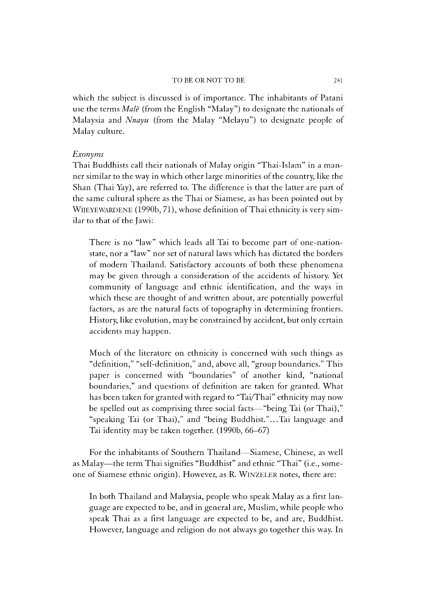which the subject is discussed is of importance. The inhabitants of Patani use the terms *Malè* (from the English "Malay") to designate the nationals of Malaysia and *Nnayu* (from the Malay "Melayu") to designate people of Malay culture.

# *Exonyms*

Thai Buddhists call their nationals of Malay origin "Thai-Islam" in a manner similar to the way in which other large minorities of the country, like the Shan (Thai Yay), are referred to. The difference is that the latter are part of the same cultural sphere as the Thai or Siamese, as has been pointed out by WIJEYEWARDENE (1990b, 71), whose definition of Thai ethnicity is very similar to that of the Jawi:

There is no "law" which leads all Tai to become part of one-nationstate, nor a "law" nor set of natural laws which has dictated the borders of modern Thailand. Satisfactory accounts of both these phenomena may be given through a consideration of the accidents of history. Yet community of language and ethnic identification, and the ways in which these are thought of and written about, are potentially powerful factors, as are the natural facts of topography in determining frontiers. History, like evolution, may be constrained by accident, but only certain accidents may happen.

Much of the literature on ethnicity is concerned with such things as "definition," "self-definition," and, above all, "group boundaries." This paper is concerned with "boundaries" of another kind, "national boundaries," and questions of definition are taken for granted. What has been taken for granted with regard to "Tai/Thai" ethnicity may now be spelled out as comprising three social facts— "being Tai (or Thai)," "speaking Tai (or Thai)," and "being Buddhist."...Tai language and Tai identity may be taken together. (1990b, 66–67)

For the inhabitants of Southern Thailand— Siamese, Chinese, as well as Malay— the term Thai signifies "Buddhist" and ethnic "Thai" (i.e., someone of Siamese ethnic origin). However, as R. WlNZELER notes, there are:

In both Thailand and Malaysia, people who speak Malay as a first language are expected to be, and in general are, Muslim, while people who speak Thai as a first language are expected to be, and are, Buddhist. However, language and religion do not always go together this way. In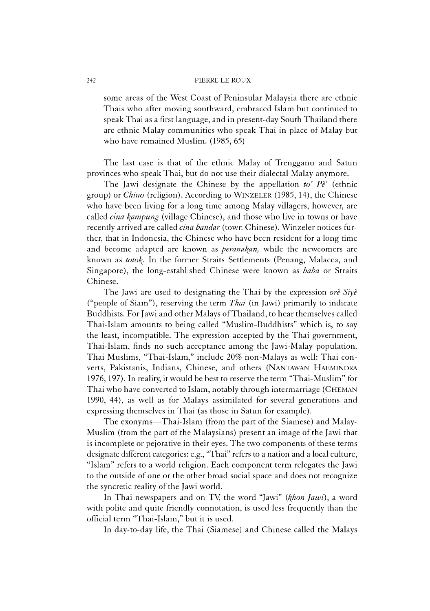some areas of the West Coast of Peninsular Malaysia there are ethnic Thais who after moving southward, embraced Islam but continued to speak Thai as a first language, and in present-day South Thailand there are ethnic Malay communities who speak Thai in place of Malay but who have remained Muslim. (1985, 65)

The last case is that of the ethnic Malay of Trengganu and Satun provinces who speak Thai, but do not use their dialectal Malay anymore.

The Jawi designate the Chinese by the appellation *to' Pè'* (ethnic group) or *Chino* (religion). According to WINZELER (1985, 14), the Chinese who have been living for a long time among Malay villagers, however, are called *cina kampung* (village Chinese), and those who live in towns or have recently arrived are called *cina bandar* (town Chinese). Winzeler notices further, that in Indonesia, the Chinese who have been resident for a long time and become adapted are known as *peranakan,* while the newcomers are known as *totok*. In the former Straits Settlements (Penang, Malacca, and Singapore), the long-established Chinese were known as *baba* or Straits Chinese.

The Jawi are used to designating the Thai by the expression *ore Siye* ("people of Siam"), reserving the term *Thai* (in Jawi) primarily to indicate Buddhists. For Jawi and other Malays of Thailand, to hear themselves called Thai-Islam amounts to being called "Muslim-Buddhists" which is, to say the least, incompatible. The expression accepted by the Thai government, Thai-Islam, finds no such acceptance among the Jawi-Malay population. Thai Muslims, "Thai-Islam," include 20% non-Malays as well: Thai converts, Pakistanis, Indians, Chinese, and others (NANTAWAN HAEMINDRA 1976 197). In reality, it would be best to reserve the term "Thai-Muslim" for Thai who have converted to Islam, notably through intermarriage (Cheman 1990, 44), as well as for Malays assimilated for several generations and expressing themselves in Thai (as those in Satun for example).

The exonyms— Thai-Islam (from the part of the Siamese) and Malay-Muslim (from the part of the Malaysians) present an image of the Jawi that is incomplete or pejorative in their eyes. The two components of these terms designate different categories: e.g. "Thai" refers to a nation and a local culture, "Islam" refers to a world religion. Each component term relegates the Jawi to the outside of one or the other broad social space and does not recognize the syncretic reality of the Jawi world.

In Thai newspapers and on *TV,* the word "Jawi" *(khon Jawi),* a word with polite and quite friendly connotation, is used less frequently than the official term "Thai-Islam," but it is used.

In day-to-day life, the Thai (Siamese) and Chinese called the Malays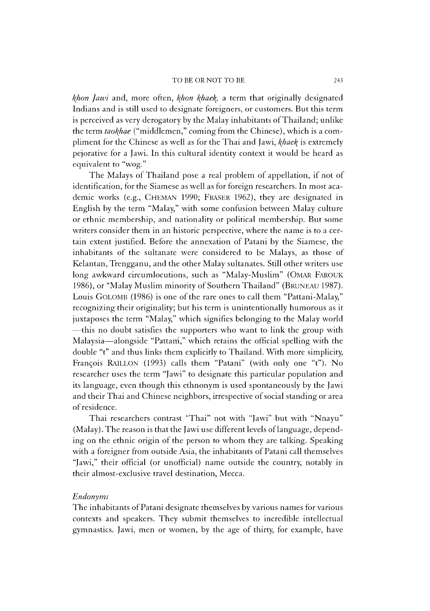*khon Jawi* and, more often, *khon khaek*, a term that originally designated Indians and is still used to designate foreigners, or customers. But this term is perceived as very derogatory by the Malay inhabitants of Thailand; unlike the term *taokhae* ("middlemen," coming from the Chinese), which is a compliment for the Chinese as well as for the Thai and Jawi, *khaek* is extremely pejorative for a Jawi. In this cultural identity context it would be heard as equivalent to "wog."

The Malays of Thailand pose a real problem of appellation, if not of identification, for the Siamese as well as for foreign researchers. In most academic works (e.g., CHEMAN 1990; FRASER 1962), they are designated in English by the term "Malay," with some confusion between Malay culture or ethnic membership, and nationality or political membership. But some writers consider them in an historic perspective, where the name is to a certain extent justified. Before the annexation of Patani by the Siamese, the inhabitants of the sultanate were considered to be Malays, as those of Kelantan, Trengganu, and the other Malay sultanates. Still other writers use long awkward circumlocutions, such as "Malay-Muslim" (〇MAR Farouk 1986), or "Malay Muslim minority of Southern Thailand" (BRUNEAU 1987). Louis GOLOMB (1986) is one of the rare ones to call them "Pattani-Malay," recognizing their originality; but his term is unintentionally humorous as it juxtaposes the term "Malay," which signifies belonging to the Malay world — this no doubt satisfies the supporters who want to link the group with Malaysia—alongside "Pattam," which retains the official spelling with the double "t" and thus links them explicitly to Thailand. With more simplicity, Frangois RAILLON (1993) calls them "Patani" (with only one "t"). No researcher uses the term "Jawi" to designate this particular population and its language, even though this ethnonym is used spontaneously by the Jawi and their Thai and Chinese neighbors, irrespective of social standing or area of residence.

Thai researchers contrast "Thai" not with "Jawi" but with "Nnayu" (Malay). The reason is that the Jawi use different levels of language, depending on the ethnic origin of the person to whom they are talking. Speaking with a foreigner from outside Asia, the inhabitants of Patani call themselves "Jawi," their official (or unofficial) name outside the country, notably in their almost-exclusive travel destination, Mecca.

# *Endonyms*

The inhabitants of Patani designate themselves by various names for various contexts and speakers. They submit themselves to incredible intellectual gymnastics. Jawi, men or women, by the age of thirty, for example, have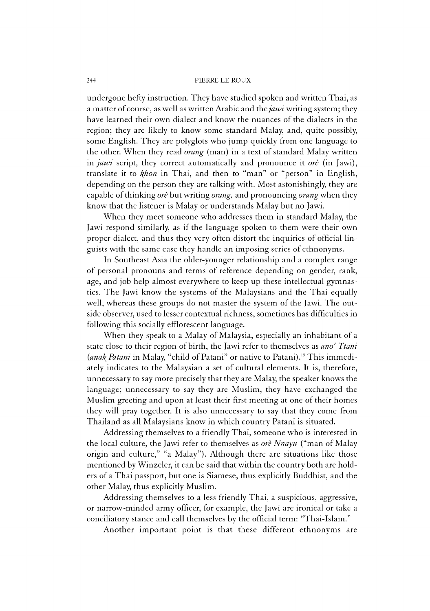undergone hefty instruction. They have studied spoken and written Thai, as a matter of course, as well as written Arabic and *thejawi* writing system; they have learned their own dialect and know the nuances of the dialects in the region; they are likely to know some standard Malay, and, quite possibly, some English. They are polyglots who jump quickly from one language to the other. When they read *orang* (man) in a text of standard Malay written in *jawi* script, they correct automatically and pronounce it *ore* (in Jawi), translate it to *khon* in Thai, and then to "man" or "person" in English, depending on the person they are talking with. Most astonishingly, they are capable of thinking *ore* but writing *orang,* and pronouncing *orang* when they know that the listener is Malay or understands Malay but no Jawi.

When they meet someone who addresses them in standard Malay, the Jawi respond similarly, as if the language spoken to them were their own proper dialect, and thus they very often distort the inquiries of official linguists with the same ease they handle an imposing series of ethnonyms.

In Southeast Asia the older-younger relationship and a complex range of personal pronouns and terms of reference depending on gender, rank, age, and job help almost everywhere to keep up these intellectual gymnastics. The Jawi know the systems of the Malaysians and the Thai equally well, whereas these groups do not master the system of the Jawi. The outside observer, used to lesser contextual richness, sometimes has difficulties in following this socially efflorescent language.

When they speak to a Malay of Malaysia, especially an inhabitant of a state close to their region of birth, the Jawi refer to themselves as *ano' Ttani (anak Patani* in Malay, "child of Patani" or native to Patani).<sup>19</sup> This immediately indicates to the Malaysian a set of cultural elements. It is, therefore, unnecessary to say more precisely that they are Malay, the speaker knows the language; unnecessary to say they are Muslim, they have exchanged the Muslim greeting and upon at least their first meeting at one of their homes they will pray together. It is also unnecessary to say that they come from Thailand as all Malaysians know in which country Patani is situated.

Addressing themselves to a friendly Thai, someone who is interested in the local culture, the Jawi refer to themselves as *ore Nnayu* ("man of Malay origin and culture," "a Malay"). Although there are situations like those mentioned by Winzeler, it can be said that within the country both are holders of a Thai passport, but one is Siamese, thus explicitly Buddhist, and the other Malay, thus explicitly Muslim.

Addressing themselves to a less friendly Thai, a suspicious, aggressive, or narrow-minded army officer, for example, the Jawi are ironical or take a conciliatory stance and call themselves by the official term: "Thai-Islam."

Another important point is that these different ethnonyms are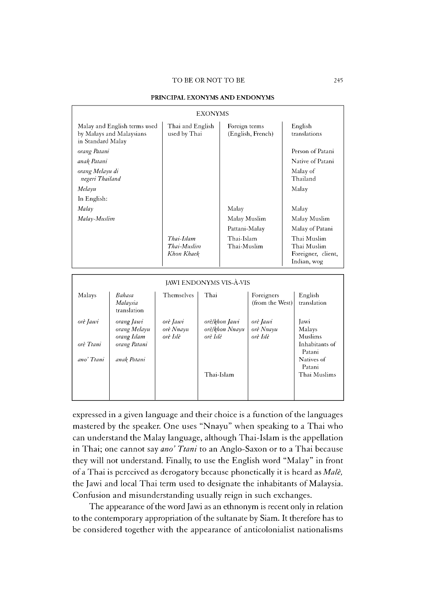#### PRINCIPAL EXONYMS AND ENDONYMS

|                                                                               | <b>EXONYMS</b>                          |                                    |                                                                 |
|-------------------------------------------------------------------------------|-----------------------------------------|------------------------------------|-----------------------------------------------------------------|
| Malay and English terms used<br>by Malays and Malaysians<br>in Standard Malay | Thai and English<br>used by Thai        | Foreign terms<br>(English, French) | English<br>translations                                         |
| orang Patani                                                                  |                                         |                                    | Person of Patani                                                |
| anak Patani                                                                   |                                         |                                    | Native of Patani                                                |
| orang Melayu di<br>negeri Thailand                                            |                                         |                                    | Malay of<br>Thailand                                            |
| Melayu                                                                        |                                         |                                    | Malay                                                           |
| In English:                                                                   |                                         |                                    |                                                                 |
| Malay                                                                         |                                         | Malay                              | Malay                                                           |
| Malay-Muslim                                                                  |                                         | Malay Muslim                       | Malay Muslim                                                    |
|                                                                               |                                         | Pattani-Malay                      | Malay of Patani                                                 |
|                                                                               | Thai-Islam<br>Thai-Muslim<br>Khon Khaek | Thai-Islam<br>Thai-Muslim          | Thai Muslim<br>Thai Muslim<br>Foreigner, client,<br>Indian, wog |
|                                                                               |                                         |                                    |                                                                 |
| <b>JAWI ENDONYMS VIS-À-VIS</b>                                                |                                         |                                    |                                                                 |
| Malays<br>Bahasa<br>Malaysia                                                  | Themselves<br>Thai                      | Foreigners<br>(from the West)      | English<br>translation                                          |

*ore Jawi orang Jawi ore Jawi ore/khon Jawi ore Jawi* Jawi **orang Melayu** ore Nnayu ore Nnayu ore Nna<br> **or**ang Islam ore Isle ore Isle ore Isle

*ore Isle ore Isle*

translation

*orang Islam orang Patani ana\ Patani*

*ore Ttani ano,Ttani*

expressed in a given language and their choice is a function of the languages mastered by the speaker. One uses "Nnayu" when speaking to a Thai who can understand the Malay language, although Thai-Islam is the appellation in Thai; one cannot say *ano Ttani* to an Anglo-Saxon or to a Thai because they will not understand. Finally, to use the English word "Malay" in front of a Thai is perceived as derogatory because phonetically it is heard as *Male,* the Jawi and local Thai term used to designate the inhabitants of Malaysia. Confusion and misunderstanding usually reign in such exchanges.

Thai-Islam

The appearance of the word Jawi as an ethnonym is recent only in relation to the contemporary appropriation of the sultanate by Siam. It therefore has to be considered together with the appearance of anticolonialist nationalisms

**Muslims** Inhabitants of Patani Natives of Patani Thai Muslims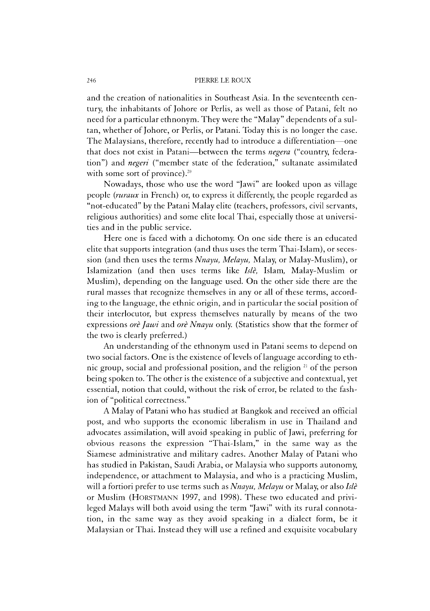and the creation of nationalities in Southeast Asia. In the seventeenth century, the inhabitants of Johore or Perlis, as well as those of Patani, felt no need for a particular ethnonym. They were the "Malay" dependents of a sultan, whether of Johore, or Perlis, or Patani. Today this is no longer the case. The Malaysians, therefore, recently had to introduce a differentiation— one that does not exist in Patani— between the terms *negera* ("country federation") and *negeri* ("member state of the federation," sultanate assimilated with some sort of province).<sup>20</sup>

Nowadays, those who use the word "Jawi" are looked upon as village people *(ruraux* in French) or, to express it differently, the people regarded as "not-educated" by the Patani Malay elite (teachers, professors, civil servants, religious authorities) and some elite local Thai, especially those at universities and in the public service.

Here one is faced with a dichotomy. On one side there is an educated elite that supports integration (and thus uses the term Thai-Islam), or secession (and then uses the terms *Nnayu, Melayu,* Malay, or Malay-Muslim), or Islamization (and then uses terms like *Isle,* Islam, Malay-Muslim or Muslim), depending on the language used. On the other side there are the rural masses that recognize themselves in any or all of these terms, according to the language, the ethnic origin, and in particular the social position of their interlocutor, but express themselves naturally by means of the two expressions *ore Jawi* and *ore Nnayu* only. (Statistics show that the former of the two is clearly preferred.)

An understanding of the ethnonym used in Patani seems to depend on two social factors. One is the existence of levels of language according to ethnic group, social and professional position, and the religion 21 of the person being spoken to. The other is the existence of a subjective and contextual, yet essential, notion that could, without the risk of error, be related to the fashion of "political correctness."

A Malay of Patani who has studied at Bangkok and received an official post, and who supports the economic liberalism in use in Thailand and advocates assimilation, will avoid speaking in public of Jawi, preferring for obvious reasons the expression "Thai-Islam," in the same way as the Siamese administrative and military cadres. Another Malay of Patani who has studied in Pakistan, Saudi Arabia, or Malaysia who supports autonomy, independence, or attachment to Malaysia, and who is a practicing Muslim, will a fortiori prefer to use terms such as *Nnayu, Melayu* or Malay, or also *Isle* or Muslim (HORSTMANN 1997, and 1998). These two educated and privileged Malays will both avoid using the term "Jawi" with its rural connotation, in the same way as they avoid speaking in a dialect form, be it Malaysian or Thai. Instead they will use a refined and exquisite vocabulary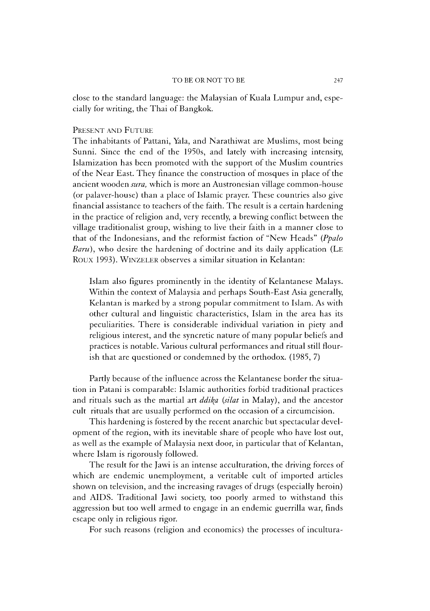close to the standard language: the Malaysian of Kuala Lumpur and, especially for writing, the Thai of Bangkok.

# PRESENT AND FUTURE

The inhabitants of Pattani, Yala, and Narathiwat are Muslims, most being Sunni. Since the end of the 1950s, and lately with increasing intensity, Islamization has been promoted with the support of the Muslim countries of the Near East. They finance the construction of mosques in place of the ancient wooden *sura,* which is more an Austronesian village common-house (or palaver-house) than a place of Islamic prayer. These countries also give financial assistance to teachers of the faith. The result is a certain hardening in the practice of religion and, very recently, a brewing conflict between the village traditionalist group, wishing to live their faith in a manner close to that of the Indonesians, and the reformist faction of "New Heads" *{Ppalo Baru*), who desire the hardening of doctrine and its daily application (LE ROUX 1993). WINZELER observes a similar situation in Kelantan:

Islam also figures prominently in the identity of Kelantanese Malays. Within the context of Malaysia and perhaps South-East Asia generally, Kelantan is marked by a strong popular commitment to Islam. As with other cultural and linguistic characteristics, Islam in the area has its peculiarities. There is considerable individual variation in piety and religious interest, and the syncretic nature of many popular beliefs and practices is notable. Various cultural performances and ritual still flourish that are questioned or condemned by the orthodox. (1985, 7)

Partly because of the influence across the Kelantanese border the situation in Patani is comparable: Islamic authorities forbid traditional practices and rituals such as the martial art *ddika (silat* in Malay), and the ancestor cult rituals that are usually performed on the occasion of a circumcision.

This hardening is fostered by the recent anarchic but spectacular development of the region, with its inevitable share of people who have lost out, as well as the example of Malaysia next door, in particular that of Kelantan, where Islam is rigorously followed.

The result for the Jawi is an intense acculturation, the driving forces of which are endemic unemployment, a veritable cult of imported articles shown on television, and the increasing ravages of drugs (especially heroin) and AIDS. Traditional Jawi society, too poorly armed to withstand this aggression but too well armed to engage in an endemic guerrilla war, finds escape only in religious rigor.

For such reasons (religion and economics) the processes of incultura-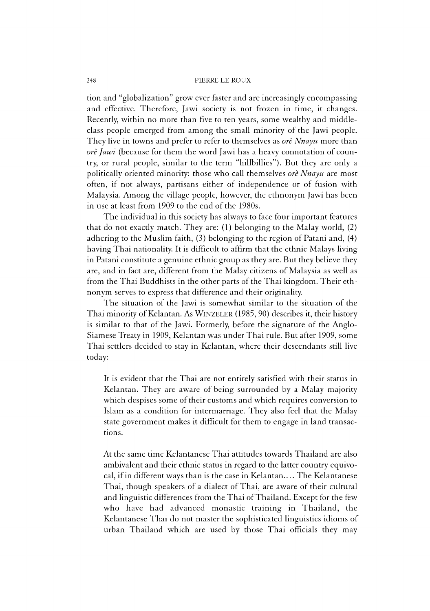tion and "globalization" grow ever faster and are increasingly encompassing and effective. Therefore, Jawi society is not frozen in time, it changes. Recently, within no more than five to ten years, some wealthy and middleclass people emerged from among the small minority of the Jawi people. They live in towns and prefer to refer to themselves as *ore Nnayu* more than *ore Jawi* (because for them the word Jawi has a heavy connotation of country, or rural people, similar to the term "hillbillies"). But they are only a politically oriented minority: those who call themselves *ore Nnayu* are most often, if not always, partisans either of independence or of fusion with Malaysia. Among the village people, however, the ethnonym Jawi has been in use at least from 1909 to the end of the 1980s.

The individual in this society has always to face four important features that do not exactly match. They are:  $(1)$  belonging to the Malay world,  $(2)$ adhering to the Muslim faith, (3) belonging to the region of Patani and, (4) having Thai nationality. It is difficult to affirm that the ethnic Malays living in Patani constitute a genuine ethnic group as they are. But they believe they are, and in fact are, different from the Malay citizens of Malaysia as well as from the Thai Buddhists in the other parts of the Thai kingdom. Their ethnonym serves to express that difference and their originality.

The situation of the Jawi is somewhat similar to the situation of the Thai minority of Kelantan. As WINZELER (1985, 90) describes it, their history is similar to that of the Jawi. Formerly, before the signature of the Anglo-Siamese Treaty in 1909, Kelantan was under Thai rule. But after 1909, some Thai settlers decided to stay in Kelantan, where their descendants still live today:

It is evident that the Thai are not entirely satisfied with their status in Kelantan. They are aware of being surrounded by a Malay majority which despises some of their customs and which requires conversion to Islam as a condition for intermarriage. They also feel that the Malay state government makes it difficult for them to engage in land transactions.

At the same time Kelantanese Thai attitudes towards Thailand are also ambivalent and their ethnic status in regard to the latter country equivocal, if in different ways than is the case in Kelantan.... The Kelantanese Thai, though speakers of a dialect of Thai, are aware of their cultural and linguistic differences from the Thai of Thailand. Except for the few who have had advanced monastic training in Thailand, the Kelantanese Thai do not master the sophisticated linguistics idioms of urban Thailand which are used by those Thai officials they may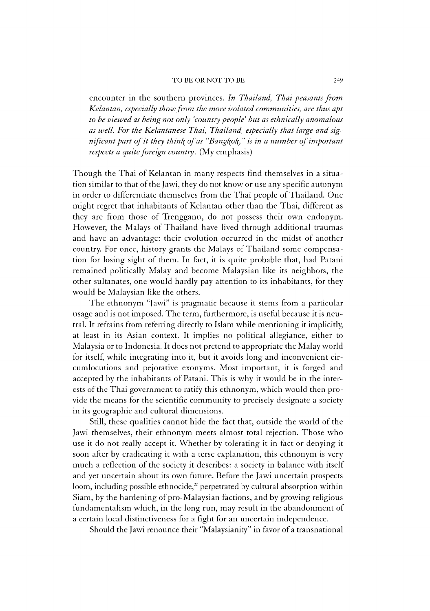encounter in the southern provinces. *In Thailand, Thai peasants from Kelantan, especially those from the more isolated communities, are thus apt* to be viewed as being not only 'country people' but as ethnically anomalous *as well. For the Kelantanese Thai, Thailand, especially that large and significant part of it they thin\ of as "Bang^pt^,is in a number of important respects a quite foreign country.* (My emphasis)

Though the Thai of Kelantan in many respects find themselves in a situation similar to that of the Jawi, they do not know or use any specific autonym in order to differentiate themselves from the Thai people of Thailand. One might regret that inhabitants of Kelantan other than the Thai, different as they are from those of Trengganu, do not possess their own endonym. However, the Malays of Thailand have lived through additional traumas and have an advantage: their evolution occurred in the midst of another country. For once, history grants the Malays of Thailand some compensation for losing sight of them. In fact, it is quite probable that, had Patani remained politically Malay and become Malaysian like its neighbors, the other sultanates, one would hardly pay attention to its inhabitants, for they would be Malaysian like the others.

The ethnonym "Jawi" is pragmatic because it stems from a particular usage and is not imposed. The term, furthermore, is useful because it is neutral. It refrains from referring directly to Islam while mentioning it implicitly, at least in its Asian context. It implies no political allegiance, either to Malaysia or to Indonesia. It does not pretend to appropriate the Malay world for itself, while integrating into it, but it avoids long and inconvenient circumlocutions and pejorative exonyms. Most important, it is forged and accepted by the inhabitants of Patani. This is why it would be in the interests of the Thai government to ratify this ethnonym, which would then provide the means for the scientific community to precisely designate a society in its geographic and cultural dimensions.

Still, these qualities cannot hide the fact that, outside the world of the Jawi themselves, their ethnonym meets almost total rejection. Those who use it do not really accept it. Whether by tolerating it in fact or denying it soon after by eradicating it with a terse explanation, this ethnonym is very much a reflection of the society it describes: a society in balance with itself and yet uncertain about its own future. Before the Jawi uncertain prospects loom, including possible ethnocide, $2$  perpetrated by cultural absorption within Siam, by the hardening of pro-Malaysian factions, and by growing religious fundamentalism which, in the long run, may result in the abandonment of a certain local distinctiveness for a fight for an uncertain independence.

Should the Jawi renounce their "Malaysianity" in favor of a transnational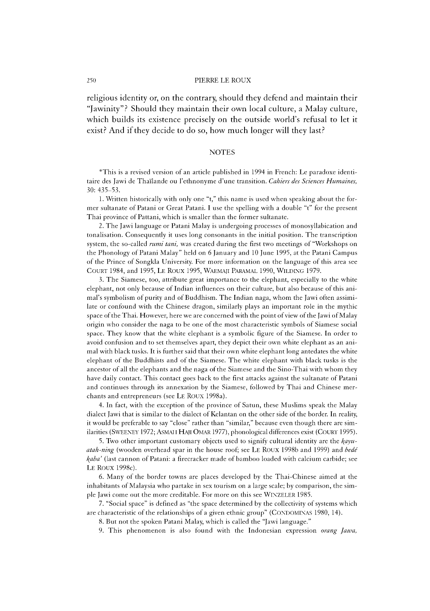religious identity or, on the contrary, should they defend and maintain their "Jawinity"? Should they maintain their own local culture, a Malay culture, which builds its existence precisely on the outside world's refusal to let it exist? And if they decide to do so, how much longer will they last?

# **NOTES**

\*This is a revised version of an article published in 1994 in French: Le paradoxe identitaire des Jawi de Thaïlande ou l'ethnonyme d'une transition. Cahiers des Sciences Humaines,  $30:435-53.$ 

1.Written historically with only one "t," this name is used when speaking about the former sultanate of Patani or Great Patani. I use the spelling with a double "t" for the present Thai province of Pattani, which is smaller than the former sultanate.

2. The Jawi language or Patani Malay is undergoing processes of monosyllabication and tonalisation. Consequently it uses long consonants in the initial position. The transcription system, the so-called *rumi tani,* was created during the first two meetings of "Workshops on the Phonology of Patani Malay" held on 6 January and 10 June 1995, at the Patani Campus of the Prince of Songkla University. For more information on the language of this area see COURT 1984, and 1995, LE ROUX 1995, WAEMAJI PARAMAL 1990, WILDING 1979.

3. The Siamese, too, attribute great importance to the elephant, especially to the white elephant, not only because of Indian influences on their culture, but also because of this animal's symbolism of purity and of Buddhism. The Indian naga, whom the Jawi often assimilate or confound with the Chinese dragon, similarly plays an important role in the mythic space of the Thai. However, here we are concerned with the point of view of the Jawi of Malay origin who consider the naga to be one of the most characteristic symbols of Siamese social space. They know that the white elephant is a symbolic figure of the Siamese. In order to avoid confusion and to set themselves apart, they depict their own white elephant as an animal with black tusks. It is further said that their own white elephant long antedates the white elephant of the Buddhists and of the Siamese. The white elephant with black tusks is the ancestor of all the elephants and the naga of the Siamese and the Sino-Thai with whom they have daily contact. This contact goes back to the first attacks against the sultanate of Patani and continues through its annexation by the Siamese, followed by Thai and Chinese merchants and entrepreneurs (see LE ROUX 1998a).

4. In fact, with the exception of the province of Satun, these Muslims speak the Malay dialect Jawi that is similar to the dialect of Kelantan on the other side of the border. In reality, it would be preferable to say "close" rather than "similar," because even though there are similarities (SWEENEY 1972; ASMAH HAJI OMAR 1977), phonological differences exist (COURT 1995).

5. Two other important customary objects used to signify cultural identity are the *\ayu~ atah-ning* (wooden overhead spar in the house roof; see LE ROUX 1998b and 1999) and *bedé kaba* (last cannon of Patani: a firecracker made of bamboo loaded with calcium carbide; see LE ROUX 1998c).

6. Many of the border towns are places developed by the Thai-Chinese aimed at the inhabitants of Malaysia who partake in sex tourism on a large scale; by comparison, the simple Jawi come out the more creditable. For more on this see WlNZELER 1985.

7. "Social space" is defined as "the space determined by the collectivity of systems which are characteristic of the relationships of a given ethnic group" (CONDOMINAS 1980, 14).

8. But not the spoken Patani Malay, which is called the "Jawi language."

9. This phenomenon is also found with the Indonesian expression *orang Jawa,*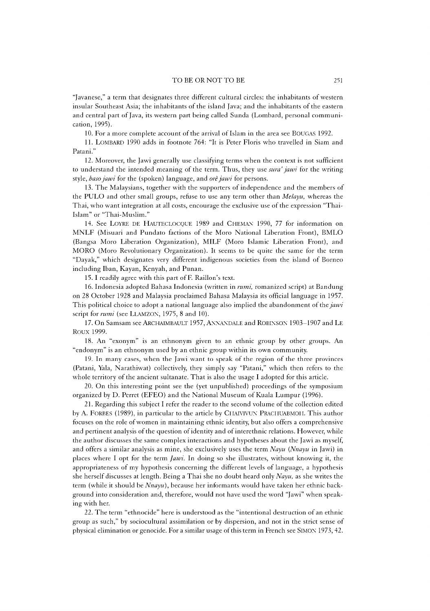"Javanese," a term that designates three different cultural circles: the inhabitants of western insular Southeast Asia; the inhabitants of the island Java; and the inhabitants of the eastern and central part of Java, its western part being called Sunda (Lombard, personal communication, 1995).

10. For a more complete account of the arrival of Islam in the area see BOUGAS 1992.

11 .LOMBARD 1990 adds in footnote 764: "It is Peter Floris who travelled in Siam and Patani.'

12. Moreover, the Jawi generally use classifying terms when the context is not sufficient to understand the intended meaning of the term. Thus, they use *sura jawi* for the writing style, *baso jawi* for the (spoken) language, and *ore jawi* for persons.

13. The Malaysians, together with the supporters of independence and the members of the PULO and other small groups, refuse to use any term other than *Melayu,* whereas the Thai, who want integration at all costs, encourage the exclusive use of the expression "Thai-Islam" or "Thai-Muslim."

14. See LOYRE DE HAUTECLOCOUE 1989 and CHEMAN 1990, 77 for information on M N LF (Misuari and Pundato factions of the Moro National Liberation Front), BMLO (Bangsa Moro Liberation Organization), MILF (Moro Islamic Liberation Front), and M ORO (Moro Revolutionary Organization). It seems to be quite the same for the term "Dayak," which designates very different indigenous societies from the island of Borneo including Iban, Kayan, Kenyah, and Punan.

15. I readily agree with this part of F. Raillon's text.

16. Indonesia adopted Bahasa Indonesia (written in *rumi,* romanized script) at Bandung on 28 October 1928 and Malaysia proclaimed Bahasa Malaysia its official language in 1957. This political choice to adopt a national language also implied the abandonment of the *jawi* script for *rumi* (see LLAMZON, 1975, 8 and 10).

17. On Samsam see ARCHAIMBAULT 1957, ANNANDALE and ROBINSON 1903-1907 and LE Roux 1999.

18. An "exonym" is an ethnonym given to an ethnic group by other groups. An "endonym" is an ethnonym used by an ethnic group within its own community.

19. In many cases, when the Jawi want to speak of the region of the three provinces (Patani, Yala, Narathiwat) collectively, they simply say "Patani," which then refers to the whole territory of the ancient sultanate. That is also the usage I adopted for this article.

20. On this interesting point see the (yet unpublished) proceedings of the symposium organized by D. Perret (EFEO) and the National Museum of Kuala Lumpur (1996).

21.Regarding this subject I refer the reader to the second volume of the collection edited by A. FORBES (1989), in particular to the article by CHAIVIVUN PRACHUABMOH. This author focuses on the role of women in maintaining ethnic identity, but also offers a comprehensive and pertinent analysis of the question of identity and of interethnic relations. However, while the author discusses the same complex interactions and hypotheses about the Jawi as myself, and offers a similar analysis as mine, she exclusively uses the term *Nayu {Nnayu* in Jawi) in places where I opt for the term *Jawi.* In doing so she illustrates, without knowing it, the appropriateness of my hypothesis concerning the different levels of language, a hypothesis she herself discusses at length. Being a Thai she no doubt heard only *Nayu,* as she writes the term (while it should be *Nnayu),* because her informants would have taken her ethnic background into consideration and, therefore, would not have used the word "Jawi" when speaking with her.

22. The term "ethnocide" here is understood as the "intentional destruction of an ethnic group as such," by sociocultural assimilation or by dispersion, and not in the strict sense of physical elimination or genocide. For a similar usage of this term in French see SlMON 1973, 42.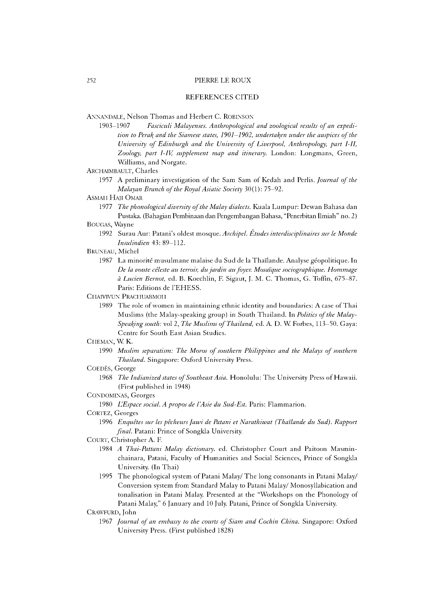# REFERENCES CITED

ANNANDALE, Nelson Thomas and Herbert C. ROBINSON

- 1903—1907 *Fasciculi Malayenses. Anthropological and zoological results of an expedition to Pera\ and the Siamese states,1901—1902, undertaken under the auspices of the University of Edinburgh and the University of Liverpool, Anthropology, part I-II Zoology, part I-IV, supplement map and itinerary.* London: Longmans, Green, Williams, and Norgate.
- ARCHAIMBAULT, Charles
	- 19)7 A preliminary investigation of the Sam Sam of Kedah and Perlis. *Journal of the Malayan Branch of the Royal Asiatic Society* 30(1): 75—92.
- ASMAH HAJI OMAR
	- 1977 *The phonological diversity of the Malay dialects.* Kuala Lumpur: Dewan Bahasa dan Pustaka. (Bahagian Pembinaan dan Pengembangan Bahasa, "Penerbitan Ilmiah" no. 2)
- BOUGAS, Wayne
	- 1992 Surau Aur: Patani's oldest mosque. *Archipel. Études interdisciplinaires sur le Monde Insulindien* 43: 89—112.
- Bruneau, Michel
	- 1987 La minonte musulmane maiaise du Sud de la Thailande. Analyse geopolitique. In De la voute céleste au terroir, du jardin au foyer. Mosaïque sociographique. Hommage *à Lucien Bernot,* ed. B. Koechlin, F. Sigaut, J. M. C. Thomas, G. Toffin, 675–87. Paris: Editions de l'EHESS.

CHAIVIVUN PRACHUABMOH

1989 The role of women in maintaining ethnic identity and boundaries: A case of Thai Muslims (the Malay-speaking group) in Soutn fhailand. In *Politics of the Malay-Speaking south:* vol 2, *The Muslims of Thailand*, ed. A. D. W. Forbes, 113–50. Gaya: Centre for South East Asian Studies.

#### CHEMAN, W. K.

- 1990 *Muslim separatism: The Moros of southern Philippines and the Malays of southern Thailand.* Singapore: Oxford University Press.
- COEDES, George
	- 1968 *The Indianized states of Southeast Asia.* Honolulu: The University Press of Hawaii. (First published in 1948)
- CONDOMINAS, Georges

# CORTEZ, Georges

- 1996 *Enquetes sur les pecheurs Jawi de Patani et Narathiwat (Thailande du Sud). Rapport final.* Patani: Prince of Songkla University.
- COURT, Christopher A. F.
	- 1984 *A I hai-Pattani Malay dictionary,* ed. Christopher Court and Paitoon Masminchainara, Patani, Faculty of Humanities and Social Sciences, Prince of songkla University. (In Thai)
	- 1995 The phonological system of Patani Malay/ The long consonants in Patani Malay/ Conversion system from Standard Malay to Patani Malay/ Monosyllabication and tonalisation in Patani Malay. Presented at the "Workshops on the Phonology of Patani Malay," 6 January and 10 July. Patani, Prince of Songkla University.

# CRAWFURD, John

1967 *Journal of an embassy to the courts of Siam and Cochin China*. Singapore: Oxford University Press. (First published 1828)

<sup>1980</sup> *L'Espace social. A propos de l'Asie du Sud-Est.* Paris: Flammarion.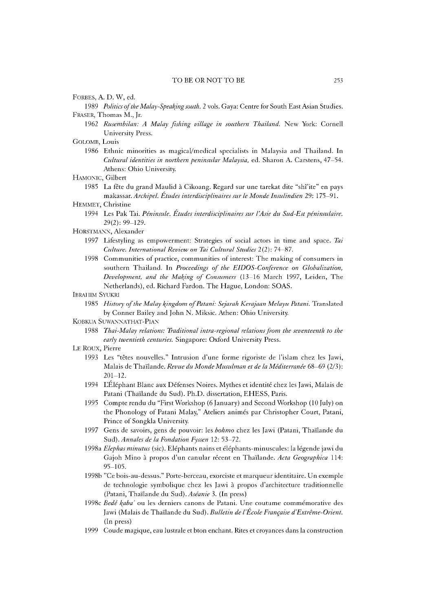FORBES, A. D. W, ed.

- 1989 *Politics of the Malay-Speaking south.* 2 vols. Gaya: Centre for South East Asian Studies. FRASER, Thomas M., Jr.
	- 1962 *Rusembilan: A Malay fishing village in southern Thailand.* New York: Cornell University Press.

GOLOMB, Louis

1986 Ethnic minorities as magical/medical specialists in Malaysia and Thailand. In *Cultural identities in northern peninsular Malaysia,* ed. Sharon A. Carstens, 47—54. Athens: Ohio University.

HAMONIC, Gilbert

1985 La fete du grand Maulid a Cikoang. Regard sur une tarekat dite "shfite" en pays makassar. *Archipel. Etudes interdisciplinaires sur le Monde Insulindien* 29:175—91.

# HEMMET, Christine

1994 Les Pak Tai. *Peninsule. Etudes interdisciplinaires sur VAsie du Sud-Est peninsulaire.* 29(2) : 99—129.

HORSTMANN, Alexander

- 1997 Lifestyling as empowerment: Strategies of social actors in time and space. *Tai Culture. International Review on Tai Cultural Studies* 2(2): 74—87.
- 1998 Communities of practice, communities of interest: The making of consumers in southern Thailand. In *Proceedings of the EIDOS-Conference on Globalization, Development, and the Making of Consumers* (13-16 March 1997, Leiden, The Netherlands), ed. Richard Fardon. The Hague, London: SOAS.

#### IBRAHIM SYUKRI

1985 *History of the Malay kingdom of Patani: Sejarah Kerajaan Melayu Patani.* Translated by Conner Bailey and John N. Miksic. Athen: Ohio University.

KOBKUA SUWANNATHAT-PIAN

- 1988 *Thai-Malay relations: Traditional intra regional relations from the seventeenth to the early twentieth centuries.* Singapore: Oxford University Press.
- LE ROUX, Pierre
	- 1993 Les "têtes nouvelles." Intrusion d'une forme rigoriste de l'islam chez les Jawi, Malais de Thailande. *Revue du Monde Musulman et de la Mediterranee* 68-69 (2/3):  $201 - 12.$
	- 1994 EElephant Blanc aux Defenses Noires. Mythes et identite chez les Jawi, Malais de Patani (Thailande du Sud). Ph.D. dissertation, EHESS, Paris.
	- 1995 Compte rendu du "First Workshop (6 January) and Second Workshop (10 July) on the Phonology of Patani Malay," Ateliers animés par Christopher Court, Patani, Prince of Songkla University.
	- 1997 Gens de savoirs, gens de pouvoir: les *bohmo* chez les Jawi (Patani, Thailande du *Sud). Annales de la Fondation Fyssen* 12: 53—72.
	- 1998a Elephas minutus (sic). Eléphants nains et éléphants-minuscules: la légende jawi du Gajoh Mino à propos d'un canular récent en Thaïlande. Acta Geographica 114: 95—105.
	- 1998b "Ce bois-au-dessus. Porte-berceau, exorciste et marqueur identitaire. Un exemple de technologie symbolique chez les Jawi a propos d'architecture traaitionnelle (Patani, fhailande du *Sud). Aseanie* 3. (In press)
	- 1998c *Bede \aba* ou les derniers canons de Patani. Une coutume commemorative des Jawi (Malais de Thaïlande du Sud). *Bulletin de l'École Française d'Extrême-Orient*. (In press)
	- 1999 Coude magiaue, eau lustrale et bton enchant. Rites et croyances dans la construction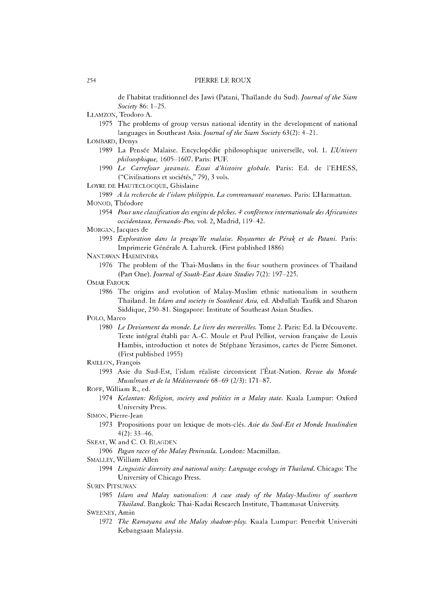de Fhabitat traditionnel des Jawi (Patani, Thailande du *Sud). Journal of the Siam Society* 86:1—25.

Llamzon, Teodoro A.

1975 The problems of group versus national identity in the development of national languages in Southeast Asia. *Journal of the Siam Society* 63(2): 4—21.

- LOMBARD, Denys
	- 1989 La Pensee Malaise. Encyclopedic philosophique universelle, vol.1*. LUnwers philosophique,* 1605-1607. Paris: PUF.
	- 1990 *Le Carrefour javanais. Essai d'histoire globale*. Paris: Ed. de l'EHESS, ("Civilisations et sociétés," 79), 3 vols.
- LOYRE DE HAUTECLOCQUE, Ghislaine

1989 *A la recherche de Vislam philippin. La communaute maranao.* Paris: EHarmattan. MONOD, Théodore

- 1954 *Pour une classification des engins depeches.中 conference internationale des AJncanistes occidentaux, Fernando-Poo, vol. 2, Madrid, 119-42.*
- MORGAN, Jacques de
	- 1993 *Exploration dans la presqu'île malaise. Royaumes de Pérak et de Patani.* Paris: Imprimerie Générale A. Lahurek. (First published 1886)
- NANTAWAN HAEMINDRA
	- 1976 The problem of the Thai-Muslims in the four southern provinces of Thailand (Part *Ono). Journal of South-East Asian Studies* 7(2): 197—225.
- **OMAR FAROUK** 
	- 198b The origins and evolution of Malay-Muslim ethnic nationalism in southern Thailand. In *Islam and society in Southeast Asia,* ed. Abdullah Taufik and ^haron Siddique, 250–81. Singapore: Institute of Southeast Asian Studies.

# POLO, Marco

- 1980 *Le Devisement du monde. Le livre des merveilles*. Tome 2. Paris: Ed. la Découverte. Texte intégral établi par A.-C. Moule et Paul Pelliot, version française de Louis Hambis, introduction et notes de Stephane Yerasimos, cartes de Pierre Simonet. (First published 1955)
- RAILLON, Frangois
	- 1993 Asie du Sud-Est, l'islam réaliste circonvient l'État-Nation. Revue du Monde *Musulman et de la Mediterranee* 68—69 (2/3): 171—87.

#### ROFF, William R., ed.

- 1974 *Kelantan: Religion, society and politics in a Malay state.* Kuala Lumpur: Oxford University Press.
- SlMON, Pierre-Jean
	- 1973 Propositions pour un lexique de mots-cies. *Asie du Sud-Est et Monde Insulindien* 4(2): 33-46.
- SKEAT, W. and C. O. BLAGDEN

190b *Pagan races of the Malay Peninsula.* London: Macmillan.

- Smalley, William Allen
	- 1994 *Linguistic diversity and national unity: Language ecology in Thailand.* Chicago: The University ot Chicago Press.

#### **SURIN PITSUWAN**

1985 *Islam and Malay nationalism: A case study of the Malay-Muslims of southern Thailand.* Bangkok: Thai-Kadai Research Institute, Thammasat University.

# SWEENEY, Amin

1972 *The Ramayana and the Malay shadow-play.* Kuala Lumpur: Penerbit Universiti Kebangsaan Malaysia.